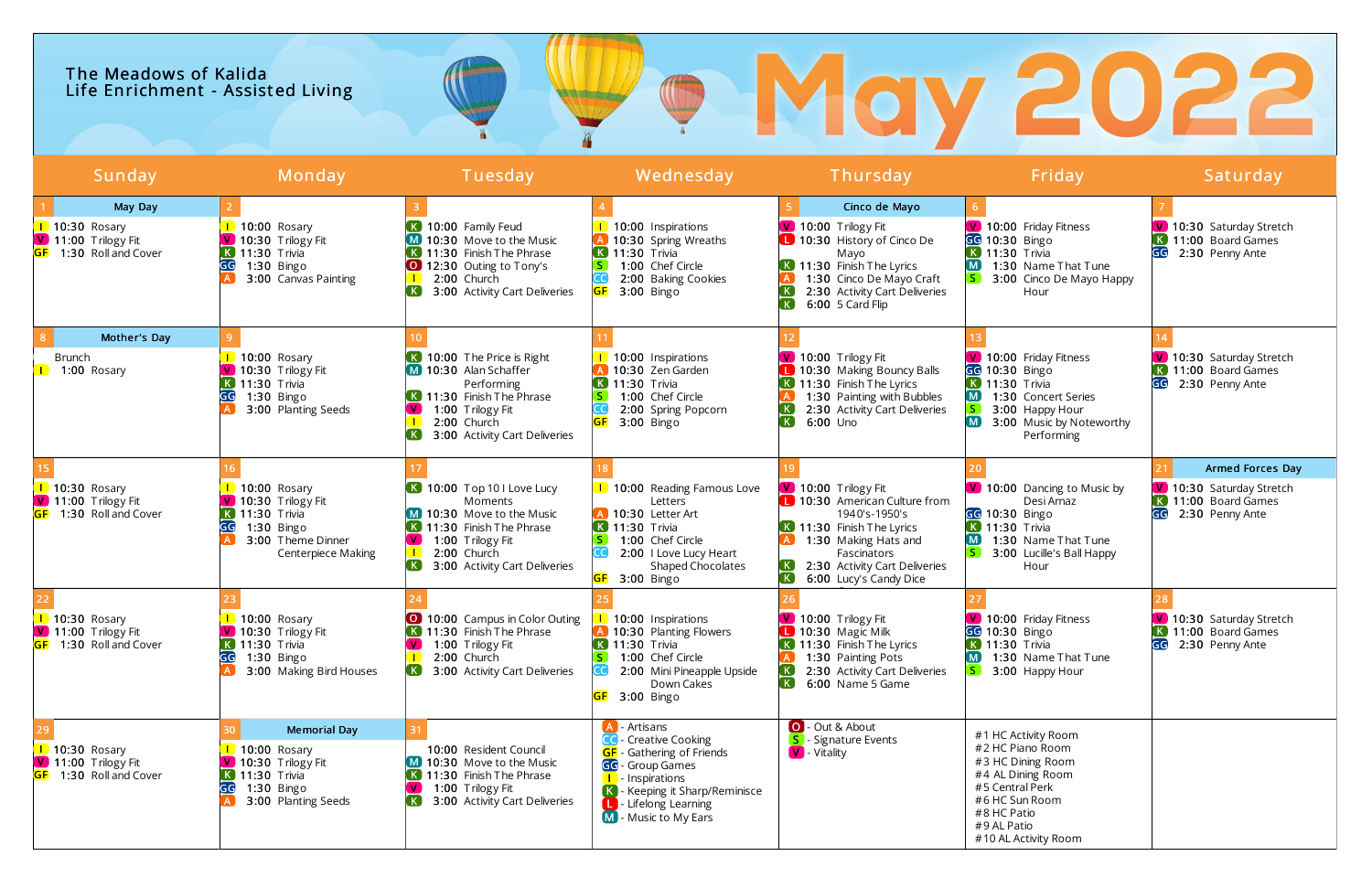## The Meadows of Kalida Life Enrichment - Assisted Living

|           | Sunday                                                                                              | Monday                                                                                                                                                    | Tuesday                                                                                                                                                                                       | Wednesday                                                                                                                                                                                                               | Thursday                                                                                                                                                                                                    | Friday                                                                                                                                                                       | Saturday                                                                                     |
|-----------|-----------------------------------------------------------------------------------------------------|-----------------------------------------------------------------------------------------------------------------------------------------------------------|-----------------------------------------------------------------------------------------------------------------------------------------------------------------------------------------------|-------------------------------------------------------------------------------------------------------------------------------------------------------------------------------------------------------------------------|-------------------------------------------------------------------------------------------------------------------------------------------------------------------------------------------------------------|------------------------------------------------------------------------------------------------------------------------------------------------------------------------------|----------------------------------------------------------------------------------------------|
| <b>GF</b> | May Day<br>$\boxed{\phantom{1}}$ 10:30 Rosary<br>V 11:00 Trilogy Fit<br>1:30 Roll and Cover         | $\overline{1}$ 10:00 Rosary<br>V 10:30 Trilogy Fit<br>$\overline{K}$ 11:30 Trivia<br>GG<br>$1:30$ Bingo<br>3:00 Canvas Painting                           | K 10:00 Family Feud<br>M 10:30 Move to the Music<br>11:30 Finish The Phrase<br>12:30 Outing to Tony's<br>2:00 Church<br>$\left( \mathbf{K}\right)$<br>3:00 Activity Cart Deliveries           | <b>1</b> 10:00 Inspirations<br>A 10:30 Spring Wreaths<br>$\overline{K}$ 11:30 Trivia<br>$\mathsf{S}$<br>1:00 Chef Circle<br>2:00 Baking Cookies<br>3:00 Bingo                                                           | Cinco de Mayo<br>V 10:00 Trilogy Fit<br>10:30 History of Cinco De<br>Mayo<br>K 11:30 Finish The Lyrics<br>1:30 Cinco De Mayo Craft<br>2:30 Activity Cart Deliveries<br>6:00 5 Card Flip                     | V 10:00 Friday Fitness<br>GG 10:30 Bingo<br>$\overline{K}$ 11:30 Trivia<br>1:30 Name That Tune<br>3:00 Cinco De Mayo Happy<br>Hour                                           | V 10:30 Saturday Stretch<br>K 11:00 Board Games<br>GG<br>2:30 Penny Ante                     |
|           | Mother's Day<br><b>Brunch</b><br>1:00 Rosary                                                        | 10:00 Rosary<br>V 10:30 Trilogy Fit<br><b>K</b> 11:30 Trivia<br>GG<br>$1:30$ Bingo<br>3:00 Planting Seeds                                                 | K 10:00 The Price is Right<br>M 10:30 Alan Schaffer<br>Performing<br>$\bf{K}$ 11:30 Finish The Phrase<br>$\mathbf{V}$<br>1:00 Trilogy Fit<br>2:00 Church<br>3:00 Activity Cart Deliveries     | 10:00 Inspirations<br>A 10:30 Zen Garden<br><b>K</b> 11:30 Trivia<br>$\vert S \vert$<br>1:00 Chef Circle<br>2:00 Spring Popcorn<br>$3:00$ Bingo<br><b>GF</b>                                                            | V 10:00 Trilogy Fit<br><b>L</b> 10:30 Making Bouncy Balls<br>K 11:30 Finish The Lyrics<br>1:30 Painting with Bubbles<br>2:30 Activity Cart Deliveries<br><b>K</b><br>6:00 Uno                               | V 10:00 Friday Fitness<br>GG 10:30 Bingo<br>$K$ 11:30 Trivia<br>1:30 Concert Series<br>3:00 Happy Hour<br>M<br>3:00 Music by Noteworthy<br>Performing                        | V 10:30 Saturday Stretch<br><b>K</b> 11:00 Board Games<br>2:30 Penny Ante                    |
| <b>GF</b> | $\boxed{\phantom{1}}$ 10:30 Rosary<br>$\boxed{\mathsf{V}}$ 11:00 Trilogy Fit<br>1:30 Roll and Cover | 1 10:00 Rosary<br>$\boxed{\mathsf{V}}$ 10:30 Trilogy Fit<br><b>K</b> 11:30 Trivia<br>$1:30$ Bingo<br>GG<br>3:00 Theme Dinner<br><b>Centerpiece Making</b> | K 10:00 Top 10 I Love Lucy<br>Moments<br>10:30 Move to the Music<br>11:30 Finish The Phrase<br>1:00 Trilogy Fit<br>2:00 Church<br>$\left( \mathbf{K}\right)$<br>3:00 Activity Cart Deliveries | <b>1</b> 10:00 Reading Famous Love<br>Letters<br>10:30 Letter Art<br>$\overline{K}$ 11:30 Trivia<br>1:00 Chef Circle<br>2:00   Love Lucy Heart<br>Shaped Chocolates<br>3:00 Bingo                                       | V 10:00 Trilogy Fit<br><b>L</b> 10:30 American Culture from<br>1940's-1950's<br>K 11:30 Finish The Lyrics<br>1:30 Making Hats and<br>Fascinators<br>2:30 Activity Cart Deliveries<br>6:00 Lucy's Candy Dice | V 10:00 Dancing to Music by<br>Desi Arnaz<br>GG 10:30 Bingo<br>$\overline{K}$ 11:30 Trivia<br>1:30 Name That Tune<br>3:00 Lucille's Ball Happy<br>Hour                       | Armed Forces Day<br>V 10:30 Saturday Stretch<br>K 11:00 Board Games<br>GG<br>2:30 Penny Ante |
| <b>GF</b> | <b>10:30 Rosary</b><br>V 11:00 Trilogy Fit<br>1:30 Roll and Cover                                   | 10:00 Rosary<br>$\boxed{\mathsf{V}}$ 10:30 Trilogy Fit<br><b>K</b> 11:30 Trivia<br>GG<br>1:30 Bingo<br>3:00 Making Bird Houses                            | 10:00 Campus in Color Outing<br>$\left( \mathbf{K}\right)$<br>11:30 Finish The Phrase<br>1:00 Trilogy Fit<br>2:00 Church<br>3:00 Activity Cart Deliveries<br>, K J                            | 1 10:00 Inspirations<br>A 10:30 Planting Flowers<br><b>K</b> 11:30 Trivia<br> S <br>1:00 Chef Circle<br>2:00 Mini Pineapple Upside<br>Down Cakes<br>GF 3:00 Bingo                                                       | V 10:00 Trilogy Fit<br>10:30 Magic Milk<br>K 11:30 Finish The Lyrics<br>1:30 Painting Pots<br>$\left( \,$ K $\right)$<br>2:30 Activity Cart Deliveries<br>$\left( \mathbf{K}\right)$<br>6:00 Name 5 Game    | V 10:00 Friday Fitness<br>GG 10:30 Bingo<br><b>K</b> 11:30 Trivia<br>$\blacksquare$<br>1:30 Name That Tune<br>3:00 Happy Hour                                                | V 10:30 Saturday Stretch<br>K 11:00 Board Games<br>GG<br>2:30 Penny Ante                     |
| <b>GF</b> | $\vert$ 10:30 Rosary<br>$\boxed{\mathsf{V}}$ 11:00 Trilogy Fit<br>1:30 Roll and Cover               | <b>Memorial Day</b><br>$\overline{1}$ 10:00 Rosary<br>$\blacksquare$ 10:30 Trilogy Fit<br>$K$ 11:30 Trivia<br>GG<br>1:30 Bingo<br>3:00 Planting Seeds     | 10:00 Resident Council<br>M 10:30 Move to the Music<br>K 11:30 Finish The Phrase<br>1:00 Trilogy Fit<br>$\left( \mathbf{K}\right)$<br>3:00 Activity Cart Deliveries                           | A - Artisans<br><b>CC</b> - Creative Cooking<br><b>GF</b> - Gathering of Friends<br>GG - Group Games<br><b>I</b> - Inspirations<br>K - Keeping it Sharp/Reminisce<br><b>L</b> Lifelong Learning<br>M - Music to My Ears | O - Out & About<br>- Signature Events<br><b>V</b> - Vitality                                                                                                                                                | #1 HC Activity Room<br>#2 HC Piano Room<br>#3 HC Dining Room<br>#4 AL Dining Room<br>#5 Central Perk<br>#6 HC Sun Room<br>#8 HC Patio<br>#9 AL Patio<br>#10 AL Activity Room |                                                                                              |

# ® May 2022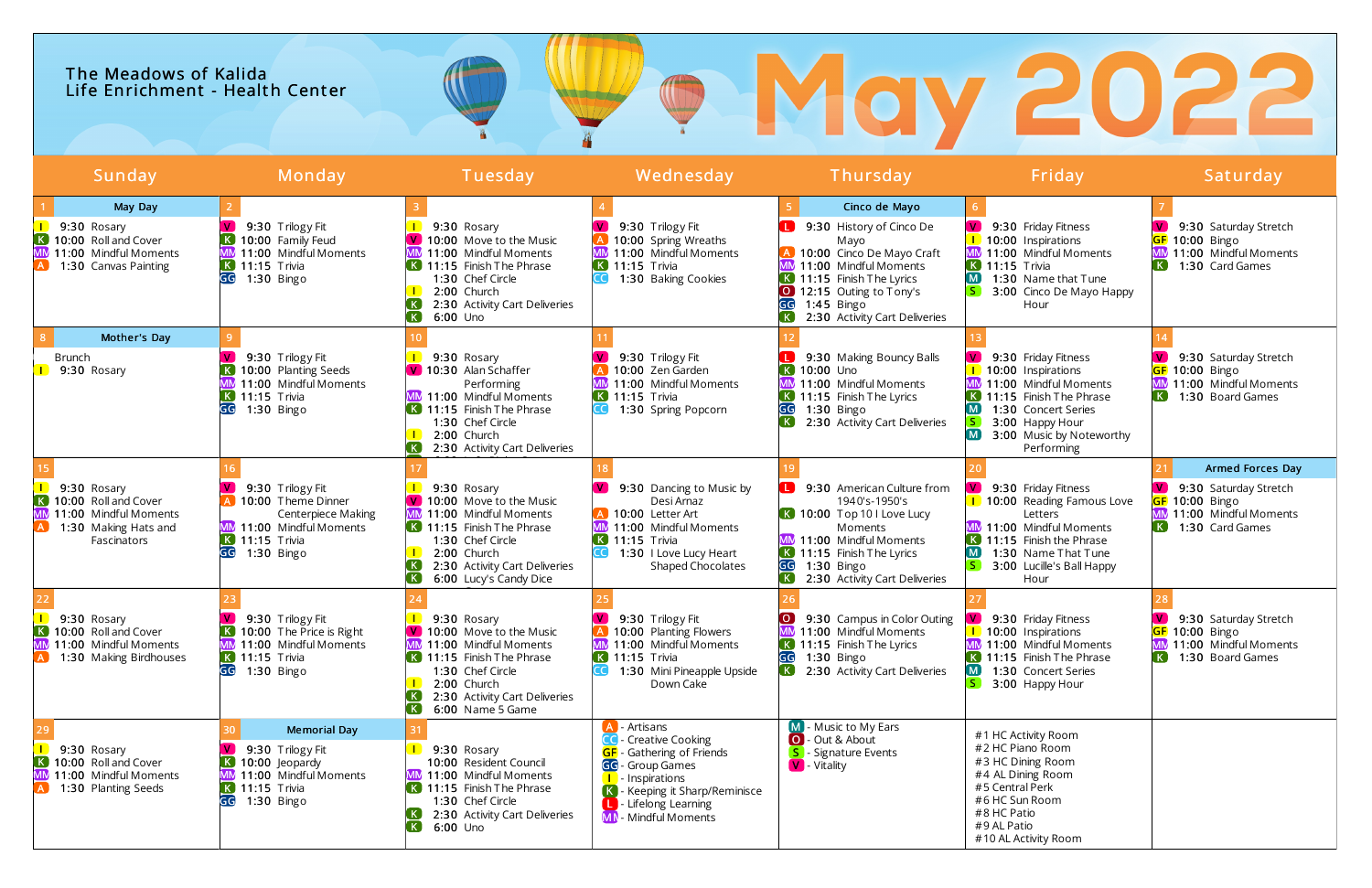## The Meadows of Kalida Life Enrichment - Health Center

| Sunday                                                                                                                                  | Monday                                                                                                                                                             | Tuesday                                                                                                                                                                                                                              | Wednesday                                                                                                                                                                                                                        | Thursday                                                                                                                                                                                                                                     | Friday                                                                                                                                                                                                       | Saturday                                                                                                                       |
|-----------------------------------------------------------------------------------------------------------------------------------------|--------------------------------------------------------------------------------------------------------------------------------------------------------------------|--------------------------------------------------------------------------------------------------------------------------------------------------------------------------------------------------------------------------------------|----------------------------------------------------------------------------------------------------------------------------------------------------------------------------------------------------------------------------------|----------------------------------------------------------------------------------------------------------------------------------------------------------------------------------------------------------------------------------------------|--------------------------------------------------------------------------------------------------------------------------------------------------------------------------------------------------------------|--------------------------------------------------------------------------------------------------------------------------------|
| May Day<br>9:30 Rosary<br>K 10:00 Roll and Cover<br><b>MM</b><br>11:00 Mindful Moments<br>1:30 Canvas Painting                          | 9:30 Trilogy Fit<br>K 10:00 Family Feud<br>MM 11:00 Mindful Moments<br>$K$ 11:15 Trivia<br>GG<br>1:30 Bingo                                                        | 9:30 Rosary<br>V 10:00 Move to the Music<br>11:00 Mindful Moments<br>$\overline{\mathbf{K}}$ 11:15 Finish The Phrase<br>1:30 Chef Circle<br>2:00 Church<br>2:30 Activity Cart Deliveries<br>$\left( \mathbf{K}\right)$<br>$6:00$ Uno | 9:30 Trilogy Fit<br>10:00 Spring Wreaths<br>MM 11:00 Mindful Moments<br>$\overline{K}$ 11:15 Trivia<br>1:30 Baking Cookies                                                                                                       | Cinco de Mayo<br>9:30 History of Cinco De<br>Mayo<br>10:00 Cinco De Mayo Craft<br>MM 11:00 Mindful Moments<br>$\overline{K}$ 11:15 Finish The Lyrics<br>12:15 Outing to Tony's<br>GG<br>$1:45$ Bingo<br>2:30 Activity Cart Deliveries<br>[K] | 9:30 Friday Fitness<br>1 10:00 Inspirations<br>11:00 Mindful Moments<br>$\overline{K}$ 11:15 Trivia<br>$\left( M \right)$<br>1:30 Name that Tune<br>S<br>3:00 Cinco De Mayo Happy<br>Hour                    | 9:30 Saturday Stretch<br>GF 10:00 Bingo<br>MM 11:00 Mindful Moments<br>K<br>1:30 Card Games                                    |
| Mother's Day<br><b>Brunch</b><br>9:30 Rosary                                                                                            | 9:30 Trilogy Fit<br>K 10:00 Planting Seeds<br>11:00 Mindful Moments<br>$\overline{K}$ 11:15 Trivia<br>GG<br>1:30 Bingo                                             | 9:30 Rosary<br>V 10:30 Alan Schaffer<br>Performing<br>11:00 Mindful Moments<br>K 11:15 Finish The Phrase<br>1:30 Chef Circle<br>2:00 Church<br>2:30 Activity Cart Deliveries                                                         | 9:30 Trilogy Fit<br>10:00 Zen Garden<br>11:00 Mindful Moments<br>$\overline{K}$ 11:15 Trivia<br>1:30 Spring Popcorn                                                                                                              | 9:30 Making Bouncy Balls<br><b>K</b> 10:00 Uno<br>11:00 Mindful Moments<br>$\overline{K}$ 11:15 Finish The Lyrics<br>GG<br>1:30 Bingo<br>2:30 Activity Cart Deliveries<br>$\lceil K \rceil$                                                  | 9:30 Friday Fitness<br>10:00 Inspirations<br>11:00 Mindful Moments<br>11:15 Finish The Phrase<br>1:30 Concert Series<br>3:00 Happy Hour<br>$^{\circ}$ M $^{\circ}$<br>3:00 Music by Noteworthy<br>Performing | 9:30 Saturday Stretch<br>GF 10:00 Bingo<br>11:00 Mindful Moments<br>$\left[\mathsf{K}\right]$<br>1:30 Board Games              |
| 9:30 Rosary<br>$\left( \mathbf{K}\right)$<br>10:00 Roll and Cover<br>MN<br>11:00 Mindful Moments<br>1:30 Making Hats and<br>Fascinators | 9:30 Trilogy Fit<br>A 10:00 Theme Dinner<br><b>Centerpiece Making</b><br>MM 11:00 Mindful Moments<br>$\overline{K}$ 11:15 Trivia<br>$1:30$ Bingo<br>GG             | 9:30 Rosary<br>V 10:00 Move to the Music<br>11:00 Mindful Moments<br>$\overline{K}$ 11:15 Finish The Phrase<br>1:30 Chef Circle<br>2:00 Church<br>2:30 Activity Cart Deliveries<br>6:00 Lucy's Candy Dice                            | 9:30 Dancing to Music by<br>Desi Arnaz<br>10:00 Letter Art<br>MM 11:00 Mindful Moments<br>$\overline{K}$ 11:15 Trivia<br>1:30 I Love Lucy Heart<br><b>Shaped Chocolates</b>                                                      | 9:30 American Culture from<br>1940's-1950's<br>K 10:00 Top 10 I Love Lucy<br>Moments<br>MM 11:00 Mindful Moments<br>$\overline{K}$ 11:15 Finish The Lyrics<br>GG<br>$1:30$ Bingo<br>2:30 Activity Cart Deliveries                            | 9:30 Friday Fitness<br>1 10:00 Reading Famous Love<br>Letters<br>11:00 Mindful Moments<br>11:15 Finish the Phrase<br>[M]<br>1:30 Name That Tune<br>3:00 Lucille's Ball Happy<br>Hour                         | Armed Forces Day<br>9:30 Saturday Stretch<br>10:00 Bingo<br><b>MM</b><br>11:00 Mindful Moments<br>K<br>1:30 Card Games         |
| 9:30 Rosary<br>$\left( \mathbf{K}\right)$<br>10:00 Roll and Cover<br><b>MM</b><br>11:00 Mindful Moments<br>1:30 Making Birdhouses       | 9:30 Trilogy Fit<br><b>K</b> 10:00 The Price is Right<br>MM 11:00 Mindful Moments<br>$K$ 11:15 Trivia<br>GG<br>1:30 Bingo                                          | 9:30 Rosary<br>V 10:00 Move to the Music<br>11:00 Mindful Moments<br>K 11:15 Finish The Phrase<br>1:30 Chef Circle<br>2:00 Church<br>2:30 Activity Cart Deliveries<br>$\left( \mathbf{K}\right)$<br>6:00 Name 5 Game                 | 9:30 Trilogy Fit<br>10:00 Planting Flowers<br>MM 11:00 Mindful Moments<br>$\overline{K}$ 11:15 Trivia<br>1:30 Mini Pineapple Upside<br>Down Cake                                                                                 | $\bullet$<br>9:30 Campus in Color Outing<br>11:00 Mindful Moments<br>$\overline{K}$ 11:15 Finish The Lyrics<br>GG<br>1:30 Bingo<br>2:30 Activity Cart Deliveries<br>(K)                                                                      | 9:30 Friday Fitness<br>1 10:00 Inspirations<br>11:00 Mindful Moments<br>$\overline{K}$ 11:15 Finish The Phrase<br>1:30 Concert Series<br>. M J<br>$\mathsf{S}$<br>3:00 Happy Hour                            | 9:30 Saturday Stretch<br>GF 10:00 Bingo<br><b>MM</b><br>11:00 Mindful Moments<br>$\left[\mathsf{K}\right]$<br>1:30 Board Games |
| 9:30 Rosary<br>$\left( \mathbf{K}\right)$<br>10:00 Roll and Cover<br><b>MM</b><br>11:00 Mindful Moments<br>1:30 Planting Seeds          | <b>Memorial Day</b><br>9:30 Trilogy Fit<br>$\overline{\mathbf{K}}$ 10:00 Jeopardy<br>MM 11:00 Mindful Moments<br>$\overline{K}$ 11:15 Trivia<br>$1:30$ Bingo<br>GG | 9:30 Rosary<br>10:00 Resident Council<br>11:00 Mindful Moments<br>$\overline{K}$ 11:15 Finish The Phrase<br>1:30 Chef Circle<br>2:30 Activity Cart Deliveries<br>$(\mathbf{K})$<br>$6:00$ Uno                                        | A - Artisans<br><b>CO</b> - Creative Cooking<br><b>GF</b> - Gathering of Friends<br>GG - Group Games<br><b>I</b> - Inspirations<br>K - Keeping it Sharp/Reminisce<br><b>L</b> - Lifelong Learning<br><b>MN</b> - Mindful Moments | - Music to My Ears<br>O - Out & About<br>- Signature Events<br>V - Vitality                                                                                                                                                                  | #1 HC Activity Room<br>#2 HC Piano Room<br>#3 HC Dining Room<br>#4 AL Dining Room<br>#5 Central Perk<br>#6 HC Sun Room<br>#8 HC Patio<br>#9 AL Patio<br>#10 AL Activity Room                                 |                                                                                                                                |

## ® May 2022